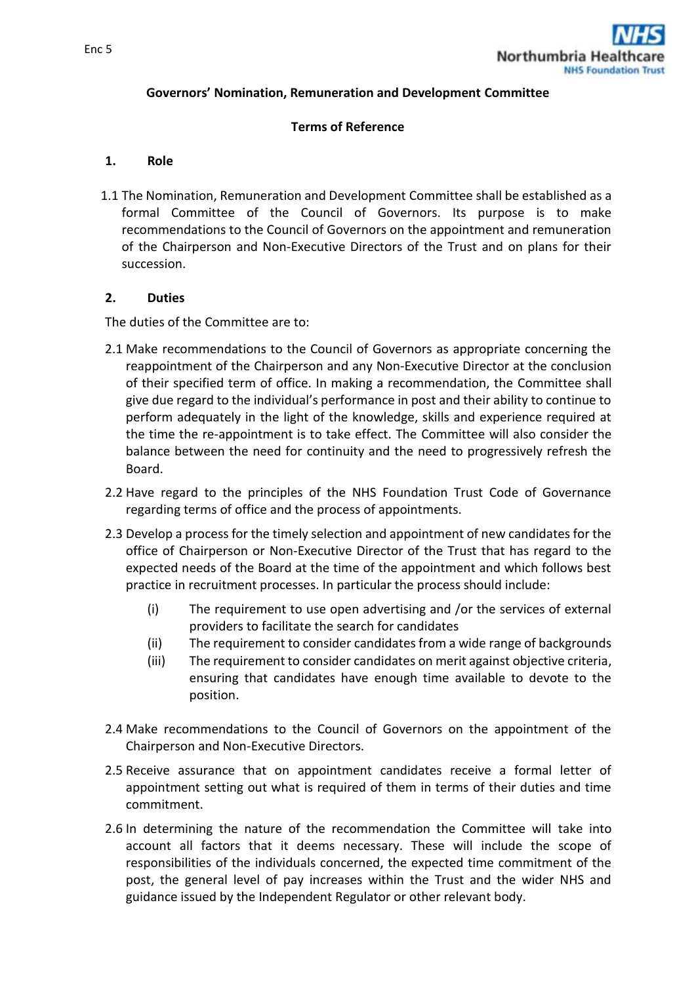

### **Governors' Nomination, Remuneration and Development Committee**

### **Terms of Reference**

#### **1. Role**

1.1 The Nomination, Remuneration and Development Committee shall be established as a formal Committee of the Council of Governors. Its purpose is to make recommendations to the Council of Governors on the appointment and remuneration of the Chairperson and Non-Executive Directors of the Trust and on plans for their succession.

### **2. Duties**

The duties of the Committee are to:

- 2.1 Make recommendations to the Council of Governors as appropriate concerning the reappointment of the Chairperson and any Non-Executive Director at the conclusion of their specified term of office. In making a recommendation, the Committee shall give due regard to the individual's performance in post and their ability to continue to perform adequately in the light of the knowledge, skills and experience required at the time the re-appointment is to take effect. The Committee will also consider the balance between the need for continuity and the need to progressively refresh the Board.
- 2.2 Have regard to the principles of the NHS Foundation Trust Code of Governance regarding terms of office and the process of appointments.
- 2.3 Develop a process for the timely selection and appointment of new candidates for the office of Chairperson or Non-Executive Director of the Trust that has regard to the expected needs of the Board at the time of the appointment and which follows best practice in recruitment processes. In particular the process should include:
	- (i) The requirement to use open advertising and /or the services of external providers to facilitate the search for candidates
	- (ii) The requirement to consider candidates from a wide range of backgrounds
	- (iii) The requirement to consider candidates on merit against objective criteria, ensuring that candidates have enough time available to devote to the position.
- 2.4 Make recommendations to the Council of Governors on the appointment of the Chairperson and Non-Executive Directors.
- 2.5 Receive assurance that on appointment candidates receive a formal letter of appointment setting out what is required of them in terms of their duties and time commitment.
- 2.6 In determining the nature of the recommendation the Committee will take into account all factors that it deems necessary. These will include the scope of responsibilities of the individuals concerned, the expected time commitment of the post, the general level of pay increases within the Trust and the wider NHS and guidance issued by the Independent Regulator or other relevant body.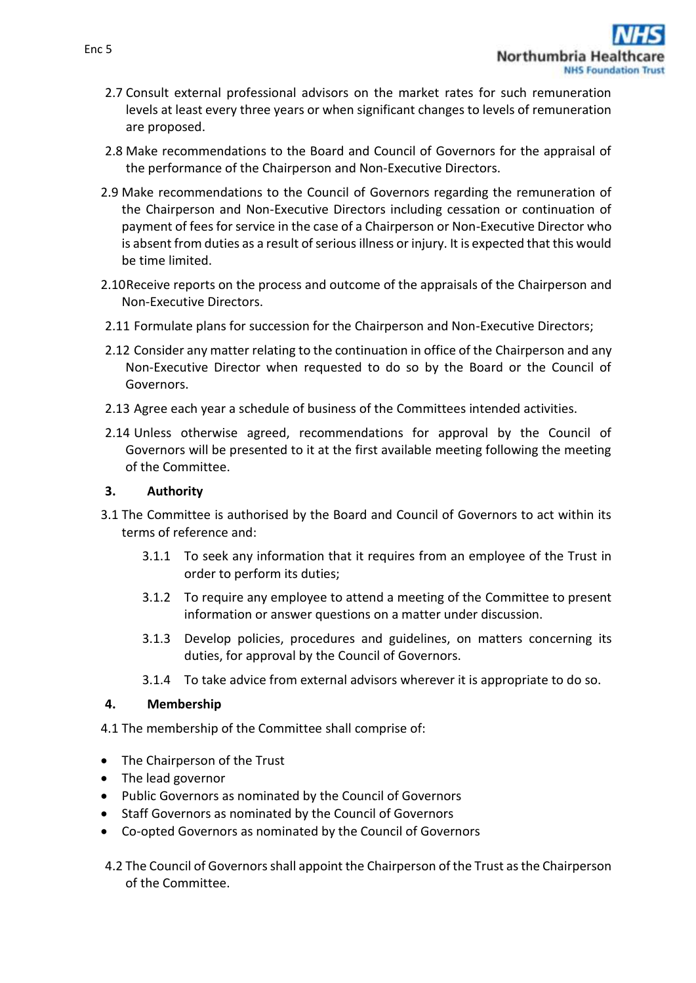- 2.7 Consult external professional advisors on the market rates for such remuneration levels at least every three years or when significant changes to levels of remuneration are proposed.
- 2.8 Make recommendations to the Board and Council of Governors for the appraisal of the performance of the Chairperson and Non-Executive Directors.
- 2.9 Make recommendations to the Council of Governors regarding the remuneration of the Chairperson and Non-Executive Directors including cessation or continuation of payment of fees for service in the case of a Chairperson or Non-Executive Director who is absent from duties as a result of serious illness or injury. It is expected that this would be time limited.
- 2.10Receive reports on the process and outcome of the appraisals of the Chairperson and Non-Executive Directors.
- 2.11 Formulate plans for succession for the Chairperson and Non-Executive Directors;
- 2.12 Consider any matter relating to the continuation in office of the Chairperson and any Non-Executive Director when requested to do so by the Board or the Council of Governors.
- 2.13 Agree each year a schedule of business of the Committees intended activities.
- 2.14 Unless otherwise agreed, recommendations for approval by the Council of Governors will be presented to it at the first available meeting following the meeting of the Committee.

### **3. Authority**

- 3.1 The Committee is authorised by the Board and Council of Governors to act within its terms of reference and:
	- 3.1.1 To seek any information that it requires from an employee of the Trust in order to perform its duties;
	- 3.1.2 To require any employee to attend a meeting of the Committee to present information or answer questions on a matter under discussion.
	- 3.1.3 Develop policies, procedures and guidelines, on matters concerning its duties, for approval by the Council of Governors.
	- 3.1.4 To take advice from external advisors wherever it is appropriate to do so.

## **4. Membership**

4.1 The membership of the Committee shall comprise of:

- The Chairperson of the Trust
- The lead governor
- Public Governors as nominated by the Council of Governors
- Staff Governors as nominated by the Council of Governors
- Co-opted Governors as nominated by the Council of Governors
- 4.2 The Council of Governors shall appoint the Chairperson of the Trust as the Chairperson of the Committee.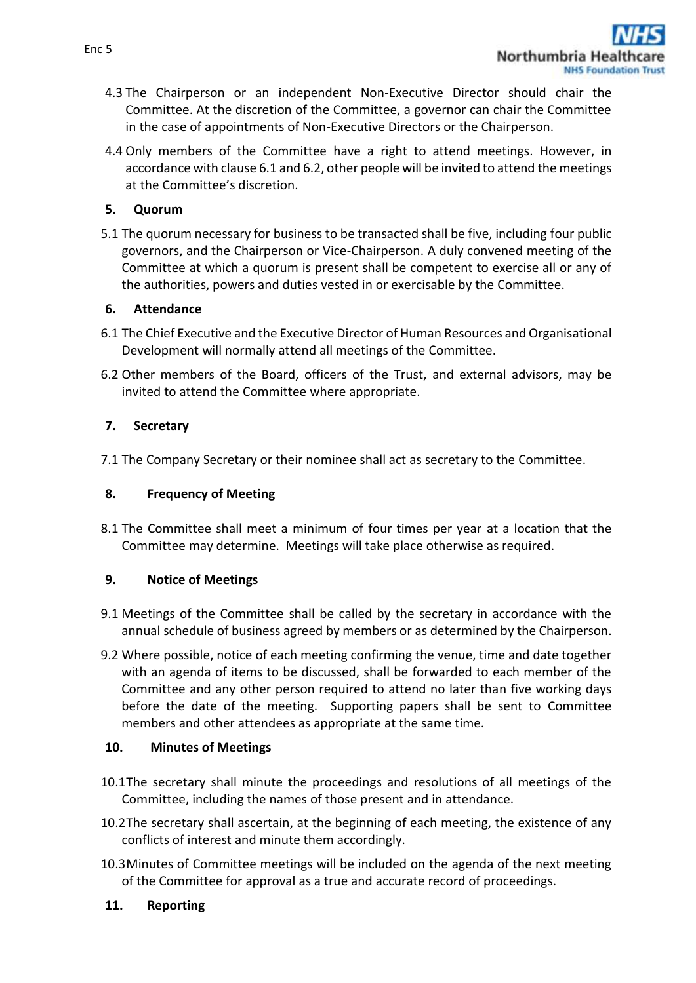- 4.3 The Chairperson or an independent Non-Executive Director should chair the Committee. At the discretion of the Committee, a governor can chair the Committee in the case of appointments of Non-Executive Directors or the Chairperson.
- 4.4 Only members of the Committee have a right to attend meetings. However, in accordance with clause 6.1 and 6.2, other people will be invited to attend the meetings at the Committee's discretion.

# **5. Quorum**

5.1 The quorum necessary for business to be transacted shall be five, including four public governors, and the Chairperson or Vice-Chairperson. A duly convened meeting of the Committee at which a quorum is present shall be competent to exercise all or any of the authorities, powers and duties vested in or exercisable by the Committee.

## **6. Attendance**

- 6.1 The Chief Executive and the Executive Director of Human Resources and Organisational Development will normally attend all meetings of the Committee.
- 6.2 Other members of the Board, officers of the Trust, and external advisors, may be invited to attend the Committee where appropriate.

# **7. Secretary**

7.1 The Company Secretary or their nominee shall act as secretary to the Committee.

# **8. Frequency of Meeting**

8.1 The Committee shall meet a minimum of four times per year at a location that the Committee may determine. Meetings will take place otherwise as required.

# **9. Notice of Meetings**

- 9.1 Meetings of the Committee shall be called by the secretary in accordance with the annual schedule of business agreed by members or as determined by the Chairperson.
- 9.2 Where possible, notice of each meeting confirming the venue, time and date together with an agenda of items to be discussed, shall be forwarded to each member of the Committee and any other person required to attend no later than five working days before the date of the meeting. Supporting papers shall be sent to Committee members and other attendees as appropriate at the same time.

## **10. Minutes of Meetings**

- 10.1The secretary shall minute the proceedings and resolutions of all meetings of the Committee, including the names of those present and in attendance.
- 10.2The secretary shall ascertain, at the beginning of each meeting, the existence of any conflicts of interest and minute them accordingly.
- 10.3Minutes of Committee meetings will be included on the agenda of the next meeting of the Committee for approval as a true and accurate record of proceedings.

## **11. Reporting**